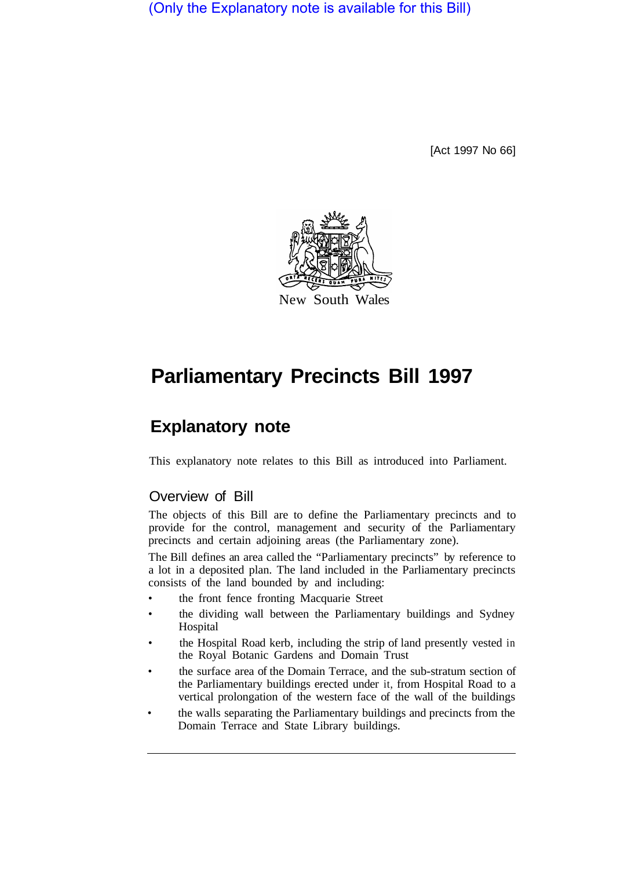(Only the Explanatory note is available for this Bill)

[Act 1997 No 66]



# **Parliamentary Precincts Bill 1997**

# **Explanatory note**

This explanatory note relates to this Bill as introduced into Parliament.

### Overview of Bill

The objects of this Bill are to define the Parliamentary precincts and to provide for the control, management and security of the Parliamentary precincts and certain adjoining areas (the Parliamentary zone).

The Bill defines an area called the "Parliamentary precincts" by reference to a lot in a deposited plan. The land included in the Parliamentary precincts consists of the land bounded by and including:

- the front fence fronting Macquarie Street
- the dividing wall between the Parliamentary buildings and Sydney Hospital
- the Hospital Road kerb, including the strip of land presently vested in the Royal Botanic Gardens and Domain Trust
- the surface area of the Domain Terrace, and the sub-stratum section of the Parliamentary buildings erected under it, from Hospital Road to a vertical prolongation of the western face of the wall of the buildings
- the walls separating the Parliamentary buildings and precincts from the Domain Terrace and State Library buildings.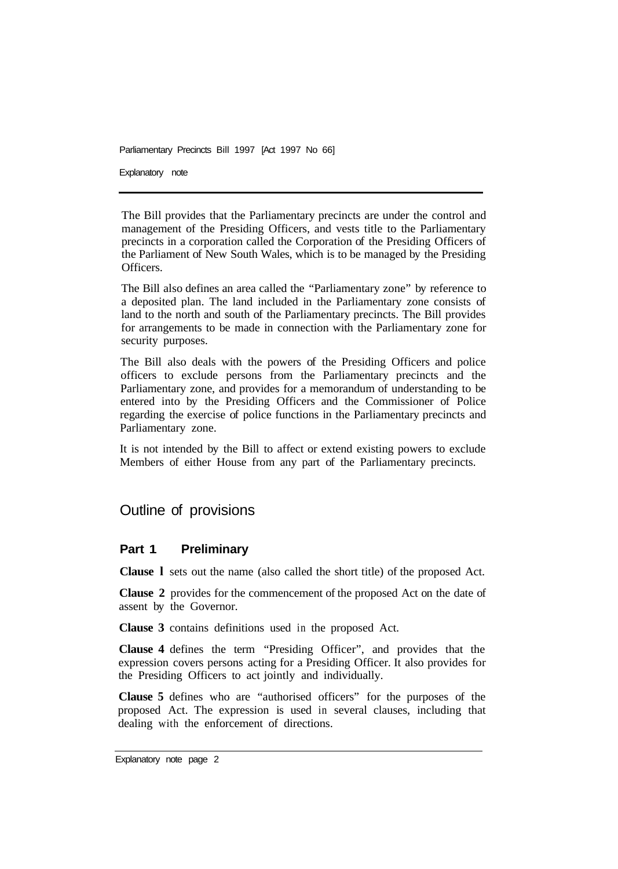Explanatory note

The Bill provides that the Parliamentary precincts are under the control and management of the Presiding Officers, and vests title to the Parliamentary precincts in a corporation called the Corporation of the Presiding Officers of the Parliament of New South Wales, which is to be managed by the Presiding Officers.

The Bill also defines an area called the "Parliamentary zone" by reference to a deposited plan. The land included in the Parliamentary zone consists of land to the north and south of the Parliamentary precincts. The Bill provides for arrangements to be made in connection with the Parliamentary zone for security purposes.

The Bill also deals with the powers of the Presiding Officers and police officers to exclude persons from the Parliamentary precincts and the Parliamentary zone, and provides for a memorandum of understanding to be entered into by the Presiding Officers and the Commissioner of Police regarding the exercise of police functions in the Parliamentary precincts and Parliamentary zone.

It is not intended by the Bill to affect or extend existing powers to exclude Members of either House from any part of the Parliamentary precincts.

## Outline of provisions

#### **Part 1 Preliminary**

**Clause l** sets out the name (also called the short title) of the proposed Act.

**Clause 2** provides for the commencement of the proposed Act on the date of assent by the Governor.

**Clause 3** contains definitions used in the proposed Act.

**Clause 4** defines the term "Presiding Officer", and provides that the expression covers persons acting for a Presiding Officer. It also provides for the Presiding Officers to act jointly and individually.

**Clause 5** defines who are "authorised officers" for the purposes of the proposed Act. The expression is used in several clauses, including that dealing with the enforcement of directions.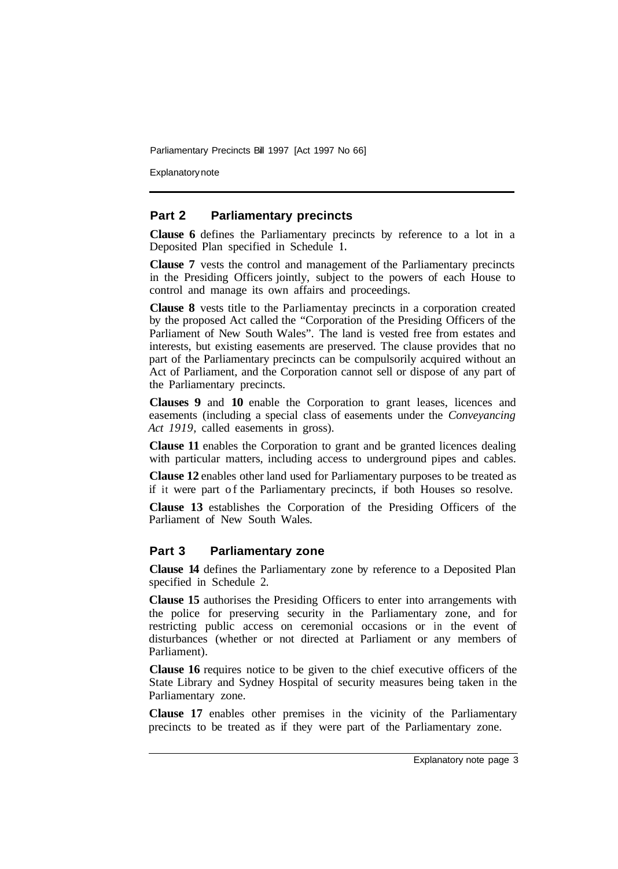Explanatory note

#### **Part 2 Parliamentary precincts**

**Clause 6** defines the Parliamentary precincts by reference to a lot in a Deposited Plan specified in Schedule **1.** 

**Clause 7** vests the control and management of the Parliamentary precincts in the Presiding Officers jointly, subject to the powers of each House to control and manage its own affairs and proceedings.

**Clause 8** vests title to the Parliamentay precincts in a corporation created by the proposed Act called the "Corporation of the Presiding Officers of the Parliament of New South Wales". The land is vested free from estates and interests, but existing easements are preserved. The clause provides that no part of the Parliamentary precincts can be compulsorily acquired without an Act of Parliament, and the Corporation cannot sell or dispose of any part of the Parliamentary precincts.

**Clauses 9** and **10** enable the Corporation to grant leases, licences and easements (including a special class of easements under the *Conveyancing Act 1919,* called easements in gross).

**Clause 11** enables the Corporation to grant and be granted licences dealing with particular matters, including access to underground pipes and cables.

**Clause 12** enables other land used for Parliamentary purposes to be treated as if it were part of the Parliamentary precincts, if both Houses so resolve.

**Clause 13** establishes the Corporation of the Presiding Officers of the Parliament of New South Wales.

#### **Part 3 Parliamentary zone**

**Clause 14** defines the Parliamentary zone by reference to a Deposited Plan specified in Schedule 2.

**Clause 15** authorises the Presiding Officers to enter into arrangements with the police for preserving security in the Parliamentary zone, and for restricting public access on ceremonial occasions or in the event of disturbances (whether or not directed at Parliament or any members of Parliament).

**Clause 16** requires notice to be given to the chief executive officers of the State Library and Sydney Hospital of security measures being taken in the Parliamentary zone.

**Clause 17** enables other premises in the vicinity of the Parliamentary precincts to be treated as if they were part of the Parliamentary zone.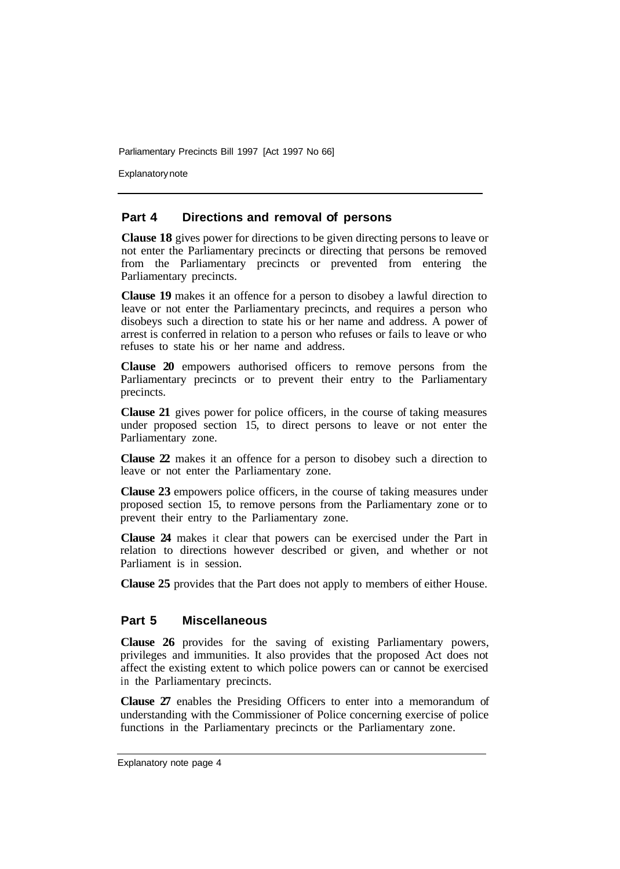Explanatory note

#### **Part 4 Directions and removal of persons**

**Clause 18** gives power for directions to be given directing persons to leave or not enter the Parliamentary precincts or directing that persons be removed from the Parliamentary precincts or prevented from entering the Parliamentary precincts.

**Clause 19** makes it an offence for a person to disobey a lawful direction to leave or not enter the Parliamentary precincts, and requires a person who disobeys such a direction to state his or her name and address. A power of arrest is conferred in relation to a person who refuses or fails to leave or who refuses to state his or her name and address.

**Clause 20** empowers authorised officers to remove persons from the Parliamentary precincts or to prevent their entry to the Parliamentary precincts.

**Clause 21** gives power for police officers, in the course of taking measures under proposed section 15, to direct persons to leave or not enter the Parliamentary zone.

**Clause 22** makes it an offence for a person to disobey such a direction to leave or not enter the Parliamentary zone.

**Clause 23** empowers police officers, in the course of taking measures under proposed section 15, to remove persons from the Parliamentary zone or to prevent their entry to the Parliamentary zone.

**Clause 24** makes it clear that powers can be exercised under the Part in relation to directions however described or given, and whether or not Parliament is in session.

**Clause 25** provides that the Part does not apply to members of either House.

#### **Part 5 Miscellaneous**

**Clause 26** provides for the saving of existing Parliamentary powers, privileges and immunities. It also provides that the proposed Act does not affect the existing extent to which police powers can or cannot be exercised in the Parliamentary precincts.

**Clause 27** enables the Presiding Officers to enter into a memorandum of understanding with the Commissioner of Police concerning exercise of police functions in the Parliamentary precincts or the Parliamentary zone.